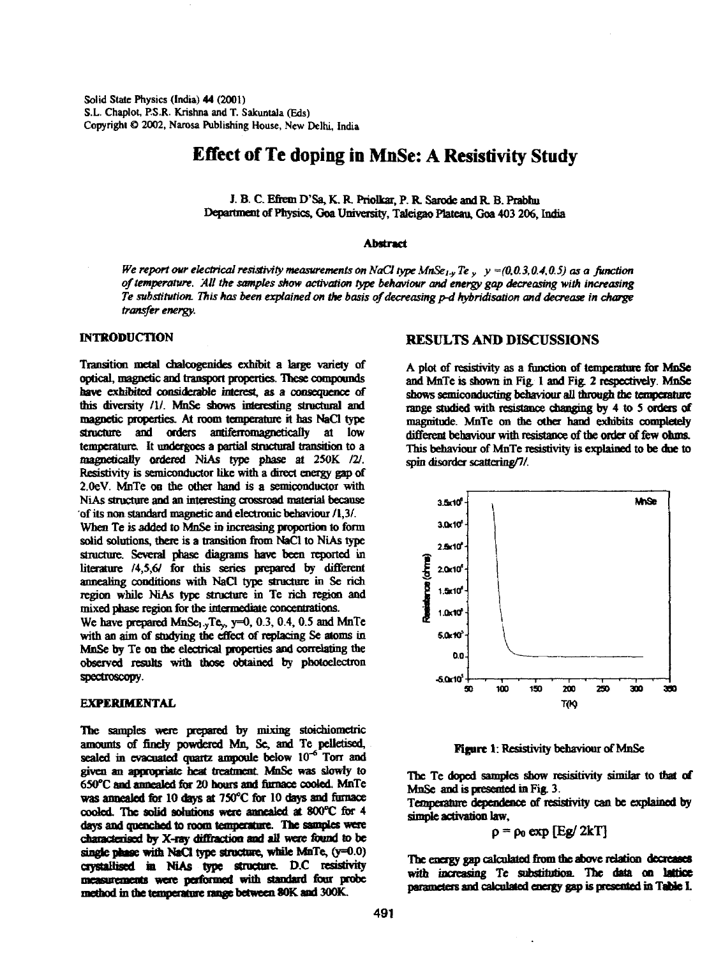Solid State Physics (India) 44 (2001) S.L. Chaplot, P.S.R. Krishna and T. Sakuntala (Eds) Copyright © 2002, Narosa Publishing House, New Delhi, India

# **Effect of Te doping in MnSe: A Resistivity Study**

J. B. C. Efrem D'Sa, K. R. Priolkar, P. R. Sarode and R. B. Prabhu Department of Physics, Goa University, Taleigao Plateau, Goa 403 206, India

#### Abstract

We report our electrical resistivity measurements on NaCl type MnSe<sub>1y</sub> Te<sub>y</sub>  $y = (0,0.3,0.4,0.5)$  as a function of temperature. All the samples show activation type behaviour and energy gap decreasing with increasing Te s

Transition metal chalcogenides exhibit a large variety of optical, magnetic and transport properties. These compounds have exhibited considerable interest, as a consequence of this diversity  $/1$ . MnSe shows interesting s

mixed phase region for the intermediate concentrations.<br>We have prepared MnSe<sub>1-y</sub>Te<sub>y</sub>, y=0, 0.3, 0.4, 0.5 and MnTe<br>with an aim of studying the effect of replacing Se atoms in<br>MnSe by Te on the electrical properties and spectroscopy.

#### **EXPERIMENTAL**

The samples were prepared by mixing stoichiometric<br>amounts of finely powdered Mn, Sc, and Te pelletised,<br>sealed in evacuated quartz ampoule below  $10^{-6}$  Torr and<br>given an appropriate heat treatment MnSe was slowly to<br>650

## INTRODUCTION RESULTS AND DISCUSSIONS

A plot of resistivity as a function of temperature for MnSe<br>and MnTe is shown in Fig. 1 and Fig. 2 respectively. MnSe<br>shows semiconducting behaviour all through the temperature<br>range studied with resistance changing by 4 t



Figure 1: Resistivity behaviour of MnSe

The Te doped samples show resistivity similar to that of MnSe and is presented in Fig. 3. Temperature dependence of resistivity can be explained by simple activation law,  $p = \rho_0 \exp [\text{Eg/ 2kT}]$ 

The energy gap calculated from the above relation decreases with increasing Te substitution. The data on **lattice** parameters and calculated energy gap is presented in **Table I.**